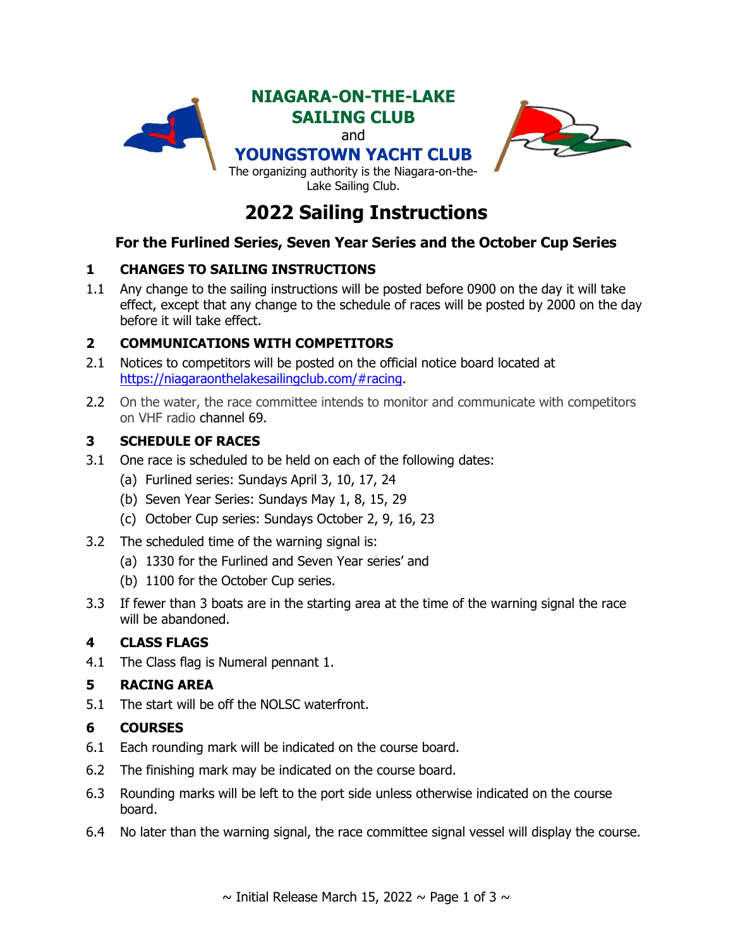



## **For the Furlined Series, Seven Year Series and the October Cup Series**

## **1 CHANGES TO SAILING INSTRUCTIONS**

1.1 Any change to the sailing instructions will be posted before 0900 on the day it will take effect, except that any change to the schedule of races will be posted by 2000 on the day before it will take effect.

## **2 COMMUNICATIONS WITH COMPETITORS**

- 2.1 Notices to competitors will be posted on the official notice board located at [https://niagaraonthelakesailingclub.com/#racing.](https://niagaraonthelakesailingclub.com/#racing)
- 2.2 On the water, the race committee intends to monitor and communicate with competitors on VHF radio channel 69.

## **3 SCHEDULE OF RACES**

- 3.1 One race is scheduled to be held on each of the following dates:
	- (a) Furlined series: Sundays April 3, 10, 17, 24
	- (b) Seven Year Series: Sundays May 1, 8, 15, 29
	- (c) October Cup series: Sundays October 2, 9, 16, 23
- 3.2 The scheduled time of the warning signal is:
	- (a) 1330 for the Furlined and Seven Year series' and
	- (b) 1100 for the October Cup series.
- 3.3 If fewer than 3 boats are in the starting area at the time of the warning signal the race will be abandoned.

#### **4 CLASS FLAGS**

4.1 The Class flag is Numeral pennant 1.

#### **5 RACING AREA**

5.1 The start will be off the NOLSC waterfront.

#### **6 COURSES**

- 6.1 Each rounding mark will be indicated on the course board.
- <span id="page-0-0"></span>6.2 The finishing mark may be indicated on the course board.
- 6.3 Rounding marks will be left to the port side unless otherwise indicated on the course board.
- 6.4 No later than the warning signal, the race committee signal vessel will display the course.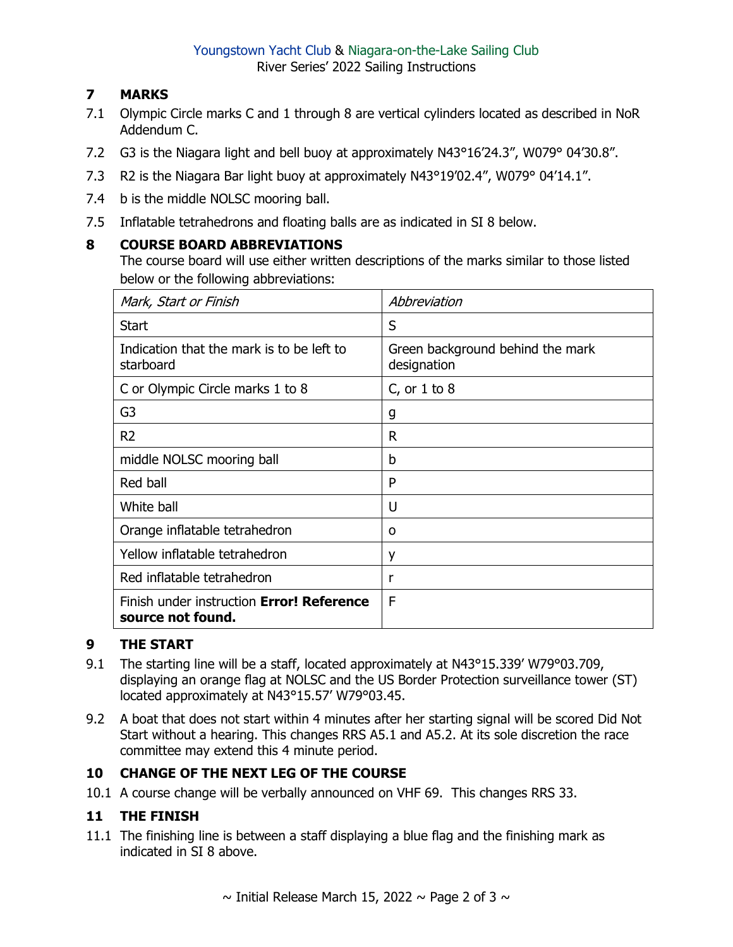# **7 MARKS**

- 7.1 Olympic Circle marks C and 1 through 8 are vertical cylinders located as described in NoR Addendum C.
- 7.2 G3 is the Niagara light and bell buoy at approximately N43°16'24.3", W079° 04'30.8".
- 7.3 R2 is the Niagara Bar light buoy at approximately N43°19'02.4", W079° 04'14.1".
- 7.4 b is the middle NOLSC mooring ball.
- 7.5 Inflatable tetrahedrons and floating balls are as indicated in SI [8](#page-1-0) below.

## <span id="page-1-0"></span>**8 COURSE BOARD ABBREVIATIONS**

The course board will use either written descriptions of the marks similar to those listed below or the following abbreviations:

| Mark, Start or Finish                                          | Abbreviation                                    |
|----------------------------------------------------------------|-------------------------------------------------|
| <b>Start</b>                                                   | S                                               |
| Indication that the mark is to be left to<br>starboard         | Green background behind the mark<br>designation |
| C or Olympic Circle marks 1 to 8                               | C, or $1$ to $8$                                |
| G <sub>3</sub>                                                 | g                                               |
| R <sub>2</sub>                                                 | R                                               |
| middle NOLSC mooring ball                                      | b                                               |
| Red ball                                                       | P                                               |
| White ball                                                     | U                                               |
| Orange inflatable tetrahedron                                  | 0                                               |
| Yellow inflatable tetrahedron                                  | y                                               |
| Red inflatable tetrahedron                                     | r                                               |
| Finish under instruction Error! Reference<br>source not found. | F                                               |

## **9 THE START**

- 9.1 The starting line will be a staff, located approximately at N43°15.339' W79°03.709, displaying an orange flag at NOLSC and the US Border Protection surveillance tower (ST) located approximately at N43°15.57' W79°03.45.
- 9.2 A boat that does not start within 4 minutes after her starting signal will be scored Did Not Start without a hearing. This changes RRS A5.1 and A5.2. At its sole discretion the race committee may extend this 4 minute period.

## **10 CHANGE OF THE NEXT LEG OF THE COURSE**

10.1 A course change will be verbally announced on VHF 69. This changes RRS 33.

## **11 THE FINISH**

11.1 The finishing line is between a staff displaying a blue flag and the finishing mark as indicated in SI [8](#page-1-0) above.